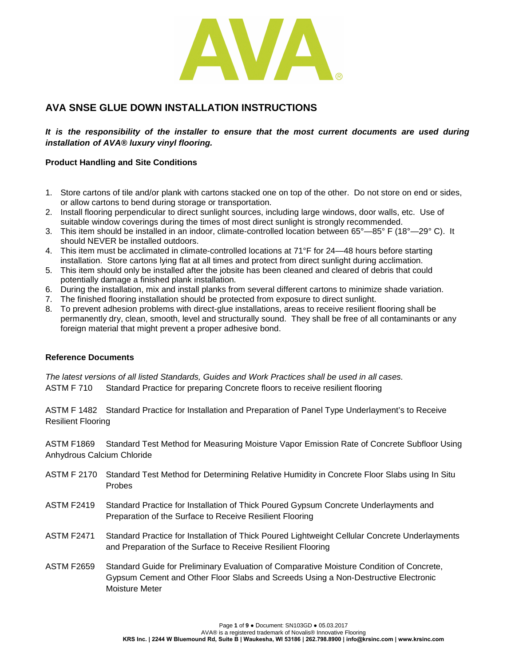

# **AVA SNSE GLUE DOWN INSTALLATION INSTRUCTIONS**

*It is the responsibility of the installer to ensure that the most current documents are used during installation of AVA® luxury vinyl flooring.* 

## **Product Handling and Site Conditions**

- 1. Store cartons of tile and/or plank with cartons stacked one on top of the other. Do not store on end or sides, or allow cartons to bend during storage or transportation.
- 2. Install flooring perpendicular to direct sunlight sources, including large windows, door walls, etc. Use of suitable window coverings during the times of most direct sunlight is strongly recommended.
- 3. This item should be installed in an indoor, climate-controlled location between 65°—85° F (18°—29° C). It should NEVER be installed outdoors.
- 4. This item must be acclimated in climate-controlled locations at 71°F for 24—48 hours before starting installation. Store cartons lying flat at all times and protect from direct sunlight during acclimation.
- 5. This item should only be installed after the jobsite has been cleaned and cleared of debris that could potentially damage a finished plank installation.
- 6. During the installation, mix and install planks from several different cartons to minimize shade variation.
- 7. The finished flooring installation should be protected from exposure to direct sunlight.
- 8. To prevent adhesion problems with direct-glue installations, areas to receive resilient flooring shall be permanently dry, clean, smooth, level and structurally sound. They shall be free of all contaminants or any foreign material that might prevent a proper adhesive bond.

#### **Reference Documents**

*The latest versions of all listed Standards, Guides and Work Practices shall be used in all cases.* ASTM F 710 Standard Practice for preparing Concrete floors to receive resilient flooring

ASTM F 1482 Standard Practice for Installation and Preparation of Panel Type Underlayment's to Receive Resilient Flooring

ASTM F1869 Standard Test Method for Measuring Moisture Vapor Emission Rate of Concrete Subfloor Using Anhydrous Calcium Chloride

- ASTM F 2170 Standard Test Method for Determining Relative Humidity in Concrete Floor Slabs using In Situ Probes
- ASTM F2419 Standard Practice for Installation of Thick Poured Gypsum Concrete Underlayments and Preparation of the Surface to Receive Resilient Flooring
- ASTM F2471 Standard Practice for Installation of Thick Poured Lightweight Cellular Concrete Underlayments and Preparation of the Surface to Receive Resilient Flooring
- ASTM F2659 Standard Guide for Preliminary Evaluation of Comparative Moisture Condition of Concrete, Gypsum Cement and Other Floor Slabs and Screeds Using a Non-Destructive Electronic Moisture Meter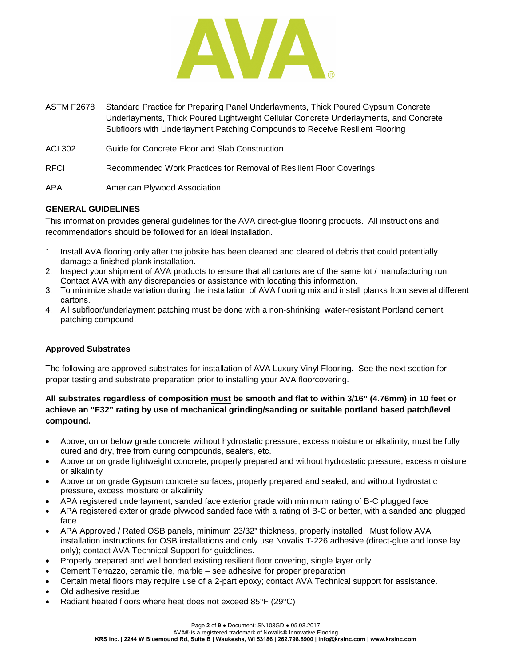

- ASTM F2678 Standard Practice for Preparing Panel Underlayments, Thick Poured Gypsum Concrete Underlayments, Thick Poured Lightweight Cellular Concrete Underlayments, and Concrete Subfloors with Underlayment Patching Compounds to Receive Resilient Flooring
- ACI 302 Guide for Concrete Floor and Slab Construction
- RFCI Recommended Work Practices for Removal of Resilient Floor Coverings
- APA American Plywood Association

# **GENERAL GUIDELINES**

This information provides general guidelines for the AVA direct-glue flooring products. All instructions and recommendations should be followed for an ideal installation.

- 1. Install AVA flooring only after the jobsite has been cleaned and cleared of debris that could potentially damage a finished plank installation.
- 2. Inspect your shipment of AVA products to ensure that all cartons are of the same lot / manufacturing run. Contact AVA with any discrepancies or assistance with locating this information.
- 3. To minimize shade variation during the installation of AVA flooring mix and install planks from several different cartons.
- 4. All subfloor/underlayment patching must be done with a non-shrinking, water-resistant Portland cement patching compound.

## **Approved Substrates**

The following are approved substrates for installation of AVA Luxury Vinyl Flooring. See the next section for proper testing and substrate preparation prior to installing your AVA floorcovering.

# **All substrates regardless of composition must be smooth and flat to within 3/16" (4.76mm) in 10 feet or achieve an "F32" rating by use of mechanical grinding/sanding or suitable portland based patch/level compound.**

- Above, on or below grade concrete without hydrostatic pressure, excess moisture or alkalinity; must be fully cured and dry, free from curing compounds, sealers, etc.
- Above or on grade lightweight concrete, properly prepared and without hydrostatic pressure, excess moisture or alkalinity
- Above or on grade Gypsum concrete surfaces, properly prepared and sealed, and without hydrostatic pressure, excess moisture or alkalinity
- APA registered underlayment, sanded face exterior grade with minimum rating of B-C plugged face
- APA registered exterior grade plywood sanded face with a rating of B-C or better, with a sanded and plugged face
- APA Approved / Rated OSB panels, minimum 23/32" thickness, properly installed. Must follow AVA installation instructions for OSB installations and only use Novalis T-226 adhesive (direct-glue and loose lay only); contact AVA Technical Support for guidelines.
- Properly prepared and well bonded existing resilient floor covering, single layer only
- Cement Terrazzo, ceramic tile, marble see adhesive for proper preparation
- Certain metal floors may require use of a 2-part epoxy; contact AVA Technical support for assistance.
- Old adhesive residue
- Radiant heated floors where heat does not exceed 85°F (29°C)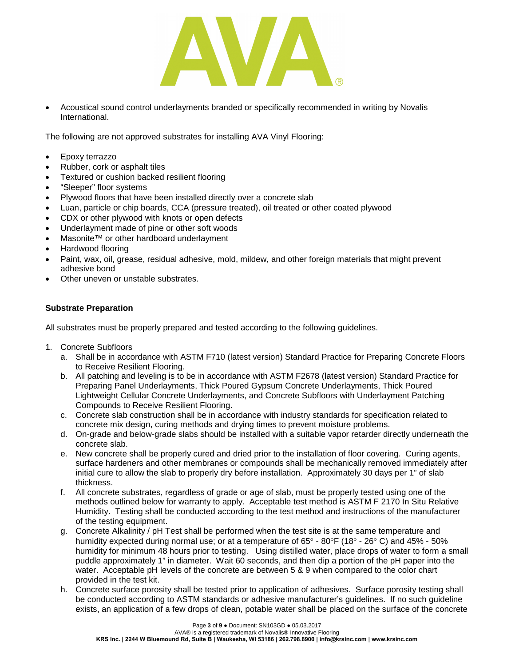

• Acoustical sound control underlayments branded or specifically recommended in writing by Novalis International.

The following are not approved substrates for installing AVA Vinyl Flooring:

- Epoxy terrazzo
- Rubber, cork or asphalt tiles
- Textured or cushion backed resilient flooring
- "Sleeper" floor systems
- Plywood floors that have been installed directly over a concrete slab
- Luan, particle or chip boards, CCA (pressure treated), oil treated or other coated plywood
- CDX or other plywood with knots or open defects
- Underlayment made of pine or other soft woods
- Masonite™ or other hardboard underlayment
- Hardwood flooring
- Paint, wax, oil, grease, residual adhesive, mold, mildew, and other foreign materials that might prevent adhesive bond
- Other uneven or unstable substrates.

#### **Substrate Preparation**

All substrates must be properly prepared and tested according to the following guidelines.

- 1. Concrete Subfloors
	- a. Shall be in accordance with ASTM F710 (latest version) Standard Practice for Preparing Concrete Floors to Receive Resilient Flooring.
	- b. All patching and leveling is to be in accordance with ASTM F2678 (latest version) Standard Practice for Preparing Panel Underlayments, Thick Poured Gypsum Concrete Underlayments, Thick Poured Lightweight Cellular Concrete Underlayments, and Concrete Subfloors with Underlayment Patching Compounds to Receive Resilient Flooring.
	- c. Concrete slab construction shall be in accordance with industry standards for specification related to concrete mix design, curing methods and drying times to prevent moisture problems.
	- d. On-grade and below-grade slabs should be installed with a suitable vapor retarder directly underneath the concrete slab.
	- e. New concrete shall be properly cured and dried prior to the installation of floor covering. Curing agents, surface hardeners and other membranes or compounds shall be mechanically removed immediately after initial cure to allow the slab to properly dry before installation. Approximately 30 days per 1" of slab thickness.
	- f. All concrete substrates, regardless of grade or age of slab, must be properly tested using one of the methods outlined below for warranty to apply. Acceptable test method is ASTM F 2170 In Situ Relative Humidity. Testing shall be conducted according to the test method and instructions of the manufacturer of the testing equipment.
	- g. Concrete Alkalinity / pH Test shall be performed when the test site is at the same temperature and humidity expected during normal use; or at a temperature of 65° - 80°F (18° - 26° C) and 45% - 50% humidity for minimum 48 hours prior to testing. Using distilled water, place drops of water to form a small puddle approximately 1" in diameter. Wait 60 seconds, and then dip a portion of the pH paper into the water. Acceptable pH levels of the concrete are between 5 & 9 when compared to the color chart provided in the test kit.
	- h. Concrete surface porosity shall be tested prior to application of adhesives. Surface porosity testing shall be conducted according to ASTM standards or adhesive manufacturer's guidelines. If no such guideline exists, an application of a few drops of clean, potable water shall be placed on the surface of the concrete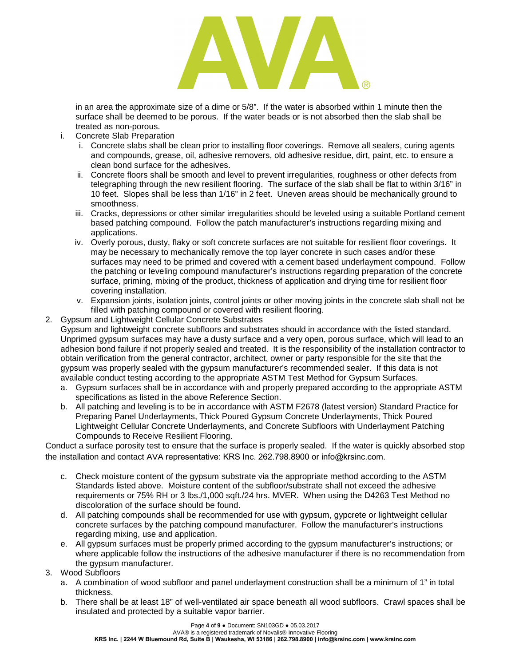

in an area the approximate size of a dime or 5/8". If the water is absorbed within 1 minute then the surface shall be deemed to be porous. If the water beads or is not absorbed then the slab shall be treated as non-porous.

- i. Concrete Slab Preparation
	- i. Concrete slabs shall be clean prior to installing floor coverings. Remove all sealers, curing agents and compounds, grease, oil, adhesive removers, old adhesive residue, dirt, paint, etc. to ensure a clean bond surface for the adhesives.
	- ii. Concrete floors shall be smooth and level to prevent irregularities, roughness or other defects from telegraphing through the new resilient flooring. The surface of the slab shall be flat to within 3/16" in 10 feet. Slopes shall be less than 1/16" in 2 feet. Uneven areas should be mechanically ground to smoothness.
	- iii. Cracks, depressions or other similar irregularities should be leveled using a suitable Portland cement based patching compound. Follow the patch manufacturer's instructions regarding mixing and applications.
	- iv. Overly porous, dusty, flaky or soft concrete surfaces are not suitable for resilient floor coverings. It may be necessary to mechanically remove the top layer concrete in such cases and/or these surfaces may need to be primed and covered with a cement based underlayment compound. Follow the patching or leveling compound manufacturer's instructions regarding preparation of the concrete surface, priming, mixing of the product, thickness of application and drying time for resilient floor covering installation.
	- v. Expansion joints, isolation joints, control joints or other moving joints in the concrete slab shall not be filled with patching compound or covered with resilient flooring.
- 2. Gypsum and Lightweight Cellular Concrete Substrates Gypsum and lightweight concrete subfloors and substrates should in accordance with the listed standard. Unprimed gypsum surfaces may have a dusty surface and a very open, porous surface, which will lead to an adhesion bond failure if not properly sealed and treated. It is the responsibility of the installation contractor to obtain verification from the general contractor, architect, owner or party responsible for the site that the gypsum was properly sealed with the gypsum manufacturer's recommended sealer. If this data is not available conduct testing according to the appropriate ASTM Test Method for Gypsum Surfaces.
	- a. Gypsum surfaces shall be in accordance with and properly prepared according to the appropriate ASTM specifications as listed in the above Reference Section.
	- b. All patching and leveling is to be in accordance with ASTM F2678 (latest version) Standard Practice for Preparing Panel Underlayments, Thick Poured Gypsum Concrete Underlayments, Thick Poured Lightweight Cellular Concrete Underlayments, and Concrete Subfloors with Underlayment Patching Compounds to Receive Resilient Flooring.

Conduct a surface porosity test to ensure that the surface is properly sealed. If the water is quickly absorbed stop the installation and contact AVA representative: KRS Inc. 262.798.8900 or info@krsinc.com.

- c. Check moisture content of the gypsum substrate via the appropriate method according to the ASTM Standards listed above. Moisture content of the subfloor/substrate shall not exceed the adhesive requirements or 75% RH or 3 lbs./1,000 sqft./24 hrs. MVER. When using the D4263 Test Method no discoloration of the surface should be found.
- d. All patching compounds shall be recommended for use with gypsum, gypcrete or lightweight cellular concrete surfaces by the patching compound manufacturer. Follow the manufacturer's instructions regarding mixing, use and application.
- e. All gypsum surfaces must be properly primed according to the gypsum manufacturer's instructions; or where applicable follow the instructions of the adhesive manufacturer if there is no recommendation from the gypsum manufacturer.
- 3. Wood Subfloors
	- a. A combination of wood subfloor and panel underlayment construction shall be a minimum of 1" in total thickness.
	- b. There shall be at least 18" of well-ventilated air space beneath all wood subfloors. Crawl spaces shall be insulated and protected by a suitable vapor barrier.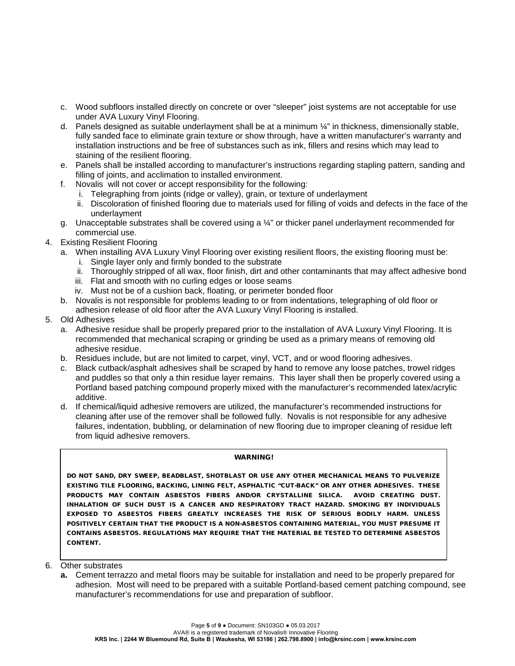- c. Wood subfloors installed directly on concrete or over "sleeper" joist systems are not acceptable for use under AVA Luxury Vinyl Flooring.
- d. Panels designed as suitable underlayment shall be at a minimum ¼" in thickness, dimensionally stable, fully sanded face to eliminate grain texture or show through, have a written manufacturer's warranty and installation instructions and be free of substances such as ink, fillers and resins which may lead to staining of the resilient flooring.
- e. Panels shall be installed according to manufacturer's instructions regarding stapling pattern, sanding and filling of joints, and acclimation to installed environment.
- f. Novalis will not cover or accept responsibility for the following:
	- i. Telegraphing from joints (ridge or valley), grain, or texture of underlayment
	- ii. Discoloration of finished flooring due to materials used for filling of voids and defects in the face of the underlayment
- g. Unacceptable substrates shall be covered using a  $\frac{1}{4}$ " or thicker panel underlayment recommended for commercial use.
- 4. Existing Resilient Flooring
	- a. When installing AVA Luxury Vinyl Flooring over existing resilient floors, the existing flooring must be:
		- i. Single layer only and firmly bonded to the substrate
		- ii. Thoroughly stripped of all wax, floor finish, dirt and other contaminants that may affect adhesive bond
		- iii. Flat and smooth with no curling edges or loose seams
		- iv. Must not be of a cushion back, floating, or perimeter bonded floor
	- b. Novalis is not responsible for problems leading to or from indentations, telegraphing of old floor or adhesion release of old floor after the AVA Luxury Vinyl Flooring is installed.
- 5. Old Adhesives
	- a. Adhesive residue shall be properly prepared prior to the installation of AVA Luxury Vinyl Flooring. It is recommended that mechanical scraping or grinding be used as a primary means of removing old adhesive residue.
	- b. Residues include, but are not limited to carpet, vinyl, VCT, and or wood flooring adhesives.
	- c. Black cutback/asphalt adhesives shall be scraped by hand to remove any loose patches, trowel ridges and puddles so that only a thin residue layer remains. This layer shall then be properly covered using a Portland based patching compound properly mixed with the manufacturer's recommended latex/acrylic additive.
	- d. If chemical/liquid adhesive removers are utilized, the manufacturer's recommended instructions for cleaning after use of the remover shall be followed fully. Novalis is not responsible for any adhesive failures, indentation, bubbling, or delamination of new flooring due to improper cleaning of residue left from liquid adhesive removers.

#### WARNING!

DO NOT SAND, DRY SWEEP, BEADBLAST, SHOTBLAST OR USE ANY OTHER MECHANICAL MEANS TO PULVERIZE EXISTING TILE FLOORING, BACKING, LINING FELT, ASPHALTIC "CUT-BACK" OR ANY OTHER ADHESIVES. THESE PRODUCTS MAY CONTAIN ASBESTOS FIBERS AND/OR CRYSTALLINE SILICA. AVOID CREATING DUST. INHALATION OF SUCH DUST IS A CANCER AND RESPIRATORY TRACT HAZARD. SMOKING BY INDIVIDUALS EXPOSED TO ASBESTOS FIBERS GREATLY INCREASES THE RISK OF SERIOUS BODILY HARM. UNLESS POSITIVELY CERTAIN THAT THE PRODUCT IS A NON-ASBESTOS CONTAINING MATERIAL, YOU MUST PRESUME IT CONTAINS ASBESTOS. REGULATIONS MAY REQUIRE THAT THE MATERIAL BE TESTED TO DETERMINE ASBESTOS CONTENT.

- 6. Other substrates
	- **a.** Cement terrazzo and metal floors may be suitable for installation and need to be properly prepared for adhesion. Most will need to be prepared with a suitable Portland-based cement patching compound, see manufacturer's recommendations for use and preparation of subfloor.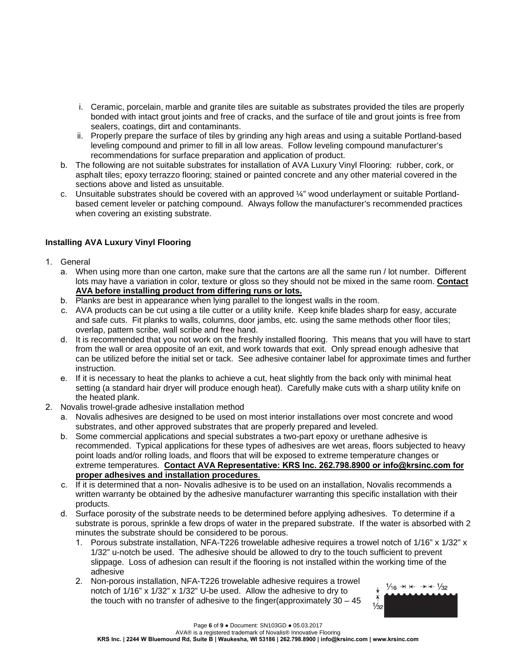- i. Ceramic, porcelain, marble and granite tiles are suitable as substrates provided the tiles are properly bonded with intact grout joints and free of cracks, and the surface of tile and grout joints is free from sealers, coatings, dirt and contaminants.
- ii. Properly prepare the surface of tiles by grinding any high areas and using a suitable Portland-based leveling compound and primer to fill in all low areas. Follow leveling compound manufacturer's recommendations for surface preparation and application of product.
- b. The following are not suitable substrates for installation of AVA Luxury Vinyl Flooring: rubber, cork, or asphalt tiles; epoxy terrazzo flooring; stained or painted concrete and any other material covered in the sections above and listed as unsuitable.
- c. Unsuitable substrates should be covered with an approved ¼" wood underlayment or suitable Portlandbased cement leveler or patching compound. Always follow the manufacturer's recommended practices when covering an existing substrate.

# **Installing AVA Luxury Vinyl Flooring**

- 1. General
	- a. When using more than one carton, make sure that the cartons are all the same run / lot number. Different lots may have a variation in color, texture or gloss so they should not be mixed in the same room. **Contact AVA before installing product from differing runs or lots.**
	- b. Planks are best in appearance when lying parallel to the longest walls in the room.
	- c. AVA products can be cut using a tile cutter or a utility knife. Keep knife blades sharp for easy, accurate and safe cuts. Fit planks to walls, columns, door jambs, etc. using the same methods other floor tiles; overlap, pattern scribe, wall scribe and free hand.
	- d. It is recommended that you not work on the freshly installed flooring. This means that you will have to start from the wall or area opposite of an exit, and work towards that exit. Only spread enough adhesive that can be utilized before the initial set or tack. See adhesive container label for approximate times and further instruction.
	- e. If it is necessary to heat the planks to achieve a cut, heat slightly from the back only with minimal heat setting (a standard hair dryer will produce enough heat). Carefully make cuts with a sharp utility knife on the heated plank.
- 2. Novalis trowel-grade adhesive installation method
	- a. Novalis adhesives are designed to be used on most interior installations over most concrete and wood substrates, and other approved substrates that are properly prepared and leveled.
	- b. Some commercial applications and special substrates a two-part epoxy or urethane adhesive is recommended. Typical applications for these types of adhesives are wet areas, floors subjected to heavy point loads and/or rolling loads, and floors that will be exposed to extreme temperature changes or extreme temperatures. **Contact AVA Representative: KRS Inc. 262.798.8900 or info@krsinc.com for proper adhesives and installation procedures**.
	- c. If it is determined that a non- Novalis adhesive is to be used on an installation, Novalis recommends a written warranty be obtained by the adhesive manufacturer warranting this specific installation with their products.
	- d. Surface porosity of the substrate needs to be determined before applying adhesives. To determine if a substrate is porous, sprinkle a few drops of water in the prepared substrate. If the water is absorbed with 2 minutes the substrate should be considered to be porous.
		- 1. Porous substrate installation, NFA-T226 trowelable adhesive requires a trowel notch of 1/16" x 1/32" x 1/32" u-notch be used. The adhesive should be allowed to dry to the touch sufficient to prevent slippage. Loss of adhesion can result if the flooring is not installed within the working time of the adhesive
		- 2. Non-porous installation, NFA-T226 trowelable adhesive requires a trowel notch of 1/16" x 1/32" x 1/32" U-be used. Allow the adhesive to dry to the touch with no transfer of adhesive to the finger(approximately 30 – 45

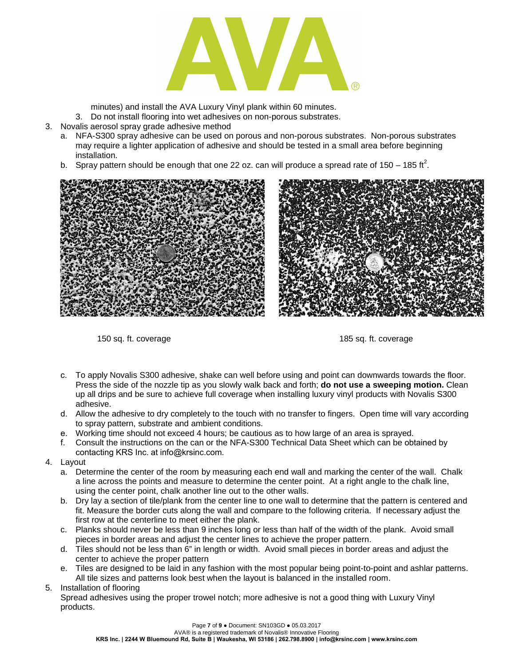

minutes) and install the AVA Luxury Vinyl plank within 60 minutes.

- 3. Do not install flooring into wet adhesives on non-porous substrates.
- 3. Novalis aerosol spray grade adhesive method
	- a. NFA-S300 spray adhesive can be used on porous and non-porous substrates. Non-porous substrates may require a lighter application of adhesive and should be tested in a small area before beginning installation.
	- b. Spray pattern should be enough that one 22 oz. can will produce a spread rate of 150 185 ft<sup>2</sup>.



150 sq. ft. coverage 185 sq. ft. coverage 185 sq. ft. coverage

- c. To apply Novalis S300 adhesive, shake can well before using and point can downwards towards the floor. Press the side of the nozzle tip as you slowly walk back and forth; **do not use a sweeping motion.** Clean up all drips and be sure to achieve full coverage when installing luxury vinyl products with Novalis S300 adhesive.
- d. Allow the adhesive to dry completely to the touch with no transfer to fingers. Open time will vary according to spray pattern, substrate and ambient conditions.
- e. Working time should not exceed 4 hours; be cautious as to how large of an area is sprayed.
- f. Consult the instructions on the can or the NFA-S300 Technical Data Sheet which can be obtained by contacting KRS Inc. at info@krsinc.com.
- 4. Layout
	- a. Determine the center of the room by measuring each end wall and marking the center of the wall. Chalk a line across the points and measure to determine the center point. At a right angle to the chalk line, using the center point, chalk another line out to the other walls.
	- b. Dry lay a section of tile/plank from the center line to one wall to determine that the pattern is centered and fit. Measure the border cuts along the wall and compare to the following criteria. If necessary adjust the first row at the centerline to meet either the plank.
	- c. Planks should never be less than 9 inches long or less than half of the width of the plank. Avoid small pieces in border areas and adjust the center lines to achieve the proper pattern.
	- d. Tiles should not be less than 6" in length or width. Avoid small pieces in border areas and adjust the center to achieve the proper pattern
	- e. Tiles are designed to be laid in any fashion with the most popular being point-to-point and ashlar patterns. All tile sizes and patterns look best when the layout is balanced in the installed room.
- 5. Installation of flooring

Spread adhesives using the proper trowel notch; more adhesive is not a good thing with Luxury Vinyl products.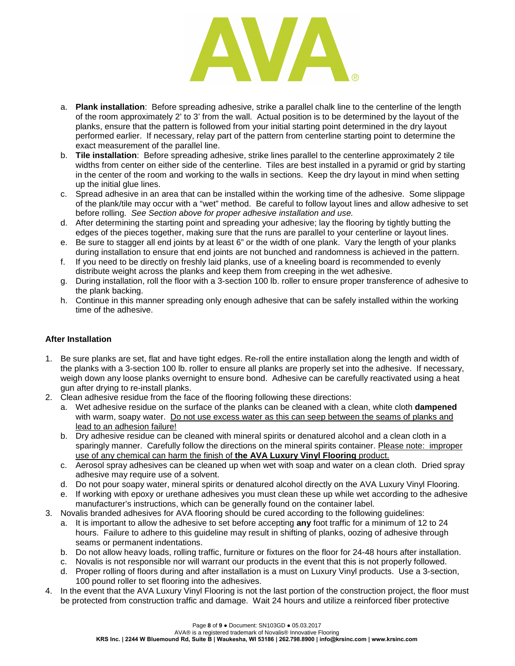

- a. **Plank installation**: Before spreading adhesive, strike a parallel chalk line to the centerline of the length of the room approximately 2' to 3' from the wall. Actual position is to be determined by the layout of the planks, ensure that the pattern is followed from your initial starting point determined in the dry layout performed earlier. If necessary, relay part of the pattern from centerline starting point to determine the exact measurement of the parallel line.
- b. **Tile installation**: Before spreading adhesive, strike lines parallel to the centerline approximately 2 tile widths from center on either side of the centerline. Tiles are best installed in a pyramid or grid by starting in the center of the room and working to the walls in sections. Keep the dry layout in mind when setting up the initial glue lines.
- c. Spread adhesive in an area that can be installed within the working time of the adhesive. Some slippage of the plank/tile may occur with a "wet" method. Be careful to follow layout lines and allow adhesive to set before rolling. *See Section above for proper adhesive installation and use.*
- d. After determining the starting point and spreading your adhesive; lay the flooring by tightly butting the edges of the pieces together, making sure that the runs are parallel to your centerline or layout lines.
- e. Be sure to stagger all end joints by at least 6" or the width of one plank. Vary the length of your planks during installation to ensure that end joints are not bunched and randomness is achieved in the pattern.
- f. If you need to be directly on freshly laid planks, use of a kneeling board is recommended to evenly distribute weight across the planks and keep them from creeping in the wet adhesive.
- g. During installation, roll the floor with a 3-section 100 lb. roller to ensure proper transference of adhesive to the plank backing.
- h. Continue in this manner spreading only enough adhesive that can be safely installed within the working time of the adhesive.

## **After Installation**

- 1. Be sure planks are set, flat and have tight edges. Re-roll the entire installation along the length and width of the planks with a 3-section 100 lb. roller to ensure all planks are properly set into the adhesive. If necessary, weigh down any loose planks overnight to ensure bond. Adhesive can be carefully reactivated using a heat gun after drying to re-install planks.
- 2. Clean adhesive residue from the face of the flooring following these directions:
	- a. Wet adhesive residue on the surface of the planks can be cleaned with a clean, white cloth **dampened** with warm, soapy water. Do not use excess water as this can seep between the seams of planks and lead to an adhesion failure!
	- b. Dry adhesive residue can be cleaned with mineral spirits or denatured alcohol and a clean cloth in a sparingly manner. Carefully follow the directions on the mineral spirits container. Please note: improper use of any chemical can harm the finish of **the AVA Luxury Vinyl Flooring** product.
	- c. Aerosol spray adhesives can be cleaned up when wet with soap and water on a clean cloth. Dried spray adhesive may require use of a solvent.
	- d. Do not pour soapy water, mineral spirits or denatured alcohol directly on the AVA Luxury Vinyl Flooring.
	- e. If working with epoxy or urethane adhesives you must clean these up while wet according to the adhesive manufacturer's instructions, which can be generally found on the container label.
- 3. Novalis branded adhesives for AVA flooring should be cured according to the following guidelines:
	- a. It is important to allow the adhesive to set before accepting **any** foot traffic for a minimum of 12 to 24 hours. Failure to adhere to this guideline may result in shifting of planks, oozing of adhesive through seams or permanent indentations.
	- b. Do not allow heavy loads, rolling traffic, furniture or fixtures on the floor for 24-48 hours after installation.
	- c. Novalis is not responsible nor will warrant our products in the event that this is not properly followed.
	- d. Proper rolling of floors during and after installation is a must on Luxury Vinyl products. Use a 3-section, 100 pound roller to set flooring into the adhesives.
- 4. In the event that the AVA Luxury Vinyl Flooring is not the last portion of the construction project, the floor must be protected from construction traffic and damage. Wait 24 hours and utilize a reinforced fiber protective